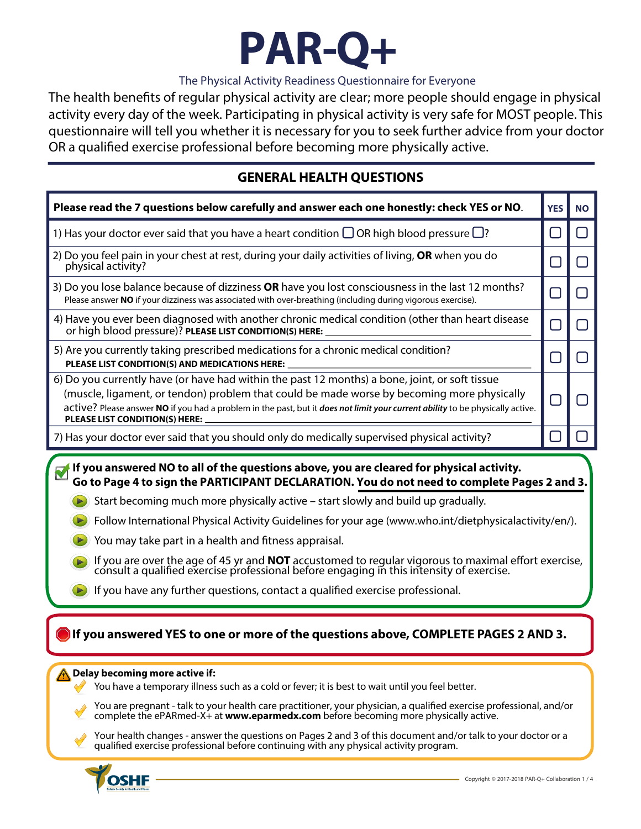

#### The Physical Activity Readiness Questionnaire for Everyone

The health benefts of regular physical activity are clear; more people should engage in physical activity every day of the week. Participating in physical activity is very safe for MOST people. This questionnaire will tell you whether it is necessary for you to seek further advice from your doctor OR a qualifed exercise professional before becoming more physically active.

#### **GENERAL HEALTH QUESTIONS**

| Please read the 7 questions below carefully and answer each one honestly: check YES or NO.                                                                                                                                                                                                                                                                                                                                                                                                                                                                                                                                                                                                                                        | <b>YES</b> | <b>NO</b>     |
|-----------------------------------------------------------------------------------------------------------------------------------------------------------------------------------------------------------------------------------------------------------------------------------------------------------------------------------------------------------------------------------------------------------------------------------------------------------------------------------------------------------------------------------------------------------------------------------------------------------------------------------------------------------------------------------------------------------------------------------|------------|---------------|
| 1) Has your doctor ever said that you have a heart condition $\Box$ OR high blood pressure $\Box$ ?                                                                                                                                                                                                                                                                                                                                                                                                                                                                                                                                                                                                                               | ΙI         | $\Box$        |
| 2) Do you feel pain in your chest at rest, during your daily activities of living, OR when you do<br>physical activity?                                                                                                                                                                                                                                                                                                                                                                                                                                                                                                                                                                                                           | $\Box$     | H             |
| 3) Do you lose balance because of dizziness OR have you lost consciousness in the last 12 months?<br>Please answer NO if your dizziness was associated with over-breathing (including during vigorous exercise).                                                                                                                                                                                                                                                                                                                                                                                                                                                                                                                  | $\Box$     | $\mathbf{I}$  |
| 4) Have you ever been diagnosed with another chronic medical condition (other than heart disease<br>or high blood pressure)? PLEASE LIST CONDITION(S) HERE:                                                                                                                                                                                                                                                                                                                                                                                                                                                                                                                                                                       | $\Box$     | $\mathcal{L}$ |
| 5) Are you currently taking prescribed medications for a chronic medical condition?<br>PLEASE LIST CONDITION(S) AND MEDICATIONS HERE:                                                                                                                                                                                                                                                                                                                                                                                                                                                                                                                                                                                             | $\Box$     |               |
| 6) Do you currently have (or have had within the past 12 months) a bone, joint, or soft tissue<br>(muscle, ligament, or tendon) problem that could be made worse by becoming more physically<br>active? Please answer NO if you had a problem in the past, but it does not limit your current ability to be physically active.<br>PLEASE LIST CONDITION(S) HERE:                                                                                                                                                                                                                                                                                                                                                                  | H          |               |
| 7) Has your doctor ever said that you should only do medically supervised physical activity?                                                                                                                                                                                                                                                                                                                                                                                                                                                                                                                                                                                                                                      |            |               |
| Go to Page 4 to sign the PARTICIPANT DECLARATION. You do not need to complete Pages 2 and 3.<br>Start becoming much more physically active – start slowly and build up gradually.<br>Follow International Physical Activity Guidelines for your age (www.who.int/dietphysicalactivity/en/).<br>You may take part in a health and fitness appraisal.<br>If you are over the age of 45 yr and <b>NOT</b> accustomed to regular vigorous to maximal effort exercise, consult a qualified exercise professional before engaging in this intensity of exercise.<br>If you have any further questions, contact a qualified exercise professional.<br>If you answered YES to one or more of the questions above, COMPLETE PAGES 2 AND 3. |            |               |
| Delay becoming more active if:<br>You have a temporary illness such as a cold or fever; it is best to wait until you feel better.<br>You are pregnant - talk to your health care practitioner, your physician, a qualified exercise professional, and/or<br>complete the ePARmed-X+ at www.eparmedx.com before becoming more physically active.<br>Your health changes - answer the questions on Pages 2 and 3 of this document and/or talk to your doctor or a<br>qualified exercise professional before continuing with any physical activity program.                                                                                                                                                                          |            |               |

OSHF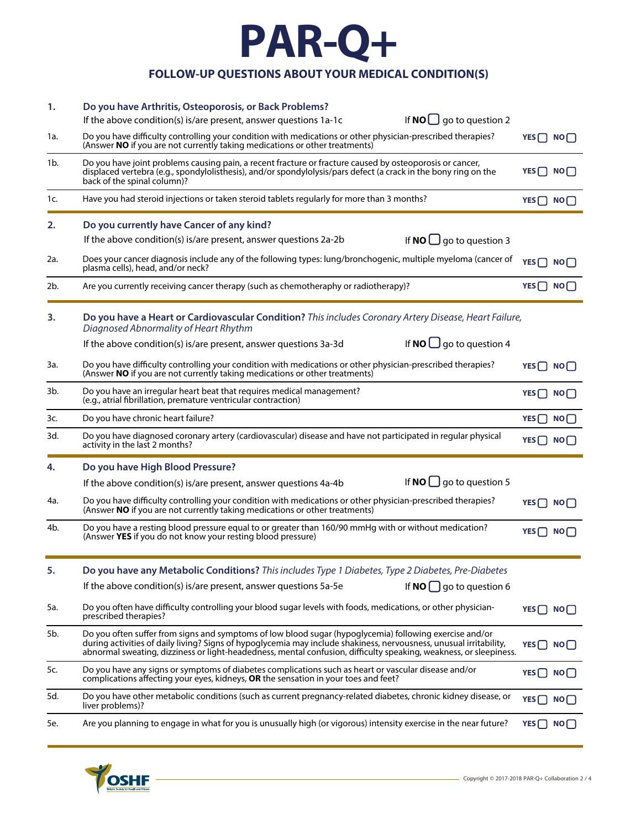# **PAR-Q+**

#### **FOLLOW-UP QUESTIONS ABOUT YOUR MEDICAL CONDITION(S)**

| 1.  | Do you have Arthritis, Osteoporosis, or Back Problems?<br>If $NO$ go to question 2<br>If the above condition(s) is/are present, answer questions 1a-1c                                                                                                                                                                                             |                          |
|-----|----------------------------------------------------------------------------------------------------------------------------------------------------------------------------------------------------------------------------------------------------------------------------------------------------------------------------------------------------|--------------------------|
| 1a. | Do you have difficulty controlling your condition with medications or other physician-prescribed therapies?<br>(Answer NO if you are not currently taking medications or other treatments)                                                                                                                                                         | $YES \bigcap NO \bigcap$ |
| 1b. | Do you have joint problems causing pain, a recent fracture or fracture caused by osteoporosis or cancer,<br>displaced vertebra (e.g., spondylolisthesis), and/or spondylolysis/pars defect (a crack in the bony ring on the<br>back of the spinal column)?                                                                                         | YES <sup>n</sup> NO      |
| 1c. | Have you had steroid injections or taken steroid tablets regularly for more than 3 months?                                                                                                                                                                                                                                                         | $YES \bigcap NO \bigcap$ |
| 2.  | Do you currently have Cancer of any kind?                                                                                                                                                                                                                                                                                                          |                          |
|     | If the above condition(s) is/are present, answer questions 2a-2b<br>If <b>NO</b> $\Box$ go to question 3                                                                                                                                                                                                                                           |                          |
| 2a. | Does your cancer diagnosis include any of the following types: lung/bronchogenic, multiple myeloma (cancer of<br>plasma cells), head, and/or neck?                                                                                                                                                                                                 | $YES \bigcap NO \bigcap$ |
| 2b. | Are you currently receiving cancer therapy (such as chemotheraphy or radiotherapy)?                                                                                                                                                                                                                                                                | $YES \bigcap NO \bigcap$ |
| 3.  | Do you have a Heart or Cardiovascular Condition? This includes Coronary Artery Disease, Heart Failure,<br>Diagnosed Abnormality of Heart Rhythm                                                                                                                                                                                                    |                          |
|     | If $NO \square$ go to question 4<br>If the above condition(s) is/are present, answer questions 3a-3d                                                                                                                                                                                                                                               |                          |
| За. | Do you have difficulty controlling your condition with medications or other physician-prescribed therapies?<br>(Answer NO if you are not currently taking medications or other treatments)                                                                                                                                                         | $YES \cap NO$            |
| 3b. | Do you have an irregular heart beat that requires medical management?<br>(e.g., atrial fibrillation, premature ventricular contraction)                                                                                                                                                                                                            | YES $\cap$ NO $\cap$     |
| 3c. | Do you have chronic heart failure?                                                                                                                                                                                                                                                                                                                 | $YES \bigcap NO \bigcap$ |
| 3d. | Do you have diagnosed coronary artery (cardiovascular) disease and have not participated in regular physical<br>activity in the last 2 months?                                                                                                                                                                                                     | YES□ NO□                 |
| 4.  | Do you have High Blood Pressure?                                                                                                                                                                                                                                                                                                                   |                          |
|     | If $NO \bigcup$ go to question 5<br>If the above condition(s) is/are present, answer questions 4a-4b                                                                                                                                                                                                                                               |                          |
| 4a. | Do you have difficulty controlling your condition with medications or other physician-prescribed therapies?<br>(Answer NO if you are not currently taking medications or other treatments)                                                                                                                                                         | $YES$ NO $ $             |
| 4b. | Do you have a resting blood pressure equal to or greater than 160/90 mmHg with or without medication?<br>(Answer YES if you do not know your resting blood pressure)                                                                                                                                                                               | $YES \cap NO \cap$       |
| 5.  | Do you have any Metabolic Conditions? This includes Type 1 Diabetes, Type 2 Diabetes, Pre-Diabetes                                                                                                                                                                                                                                                 |                          |
|     | If the above condition(s) is/are present, answer questions 5a-5e<br>If $NO$ go to question 6                                                                                                                                                                                                                                                       |                          |
| 5a. | Do you often have difficulty controlling your blood sugar levels with foods, medications, or other physician-<br>prescribed therapies?                                                                                                                                                                                                             | $YES \cap NO \cap$       |
| 5b. | Do you often suffer from signs and symptoms of low blood sugar (hypoglycemia) following exercise and/or<br>during activities of daily living? Signs of hypoglycemia may include shakiness, nervousness, unusual irritability,<br>abnormal sweating, dizziness or light-headedness, mental confusion, difficulty speaking, weakness, or sleepiness. | $YES \cap NO \cap$       |
| 5c. | Do you have any signs or symptoms of diabetes complications such as heart or vascular disease and/or<br>complications affecting your eyes, kidneys, OR the sensation in your toes and feet?                                                                                                                                                        | YES   NO                 |
| 5d. | Do you have other metabolic conditions (such as current pregnancy-related diabetes, chronic kidney disease, or<br>liver problems)?                                                                                                                                                                                                                 | $YES \bigcap NO$         |
| 5e. | Are you planning to engage in what for you is unusually high (or vigorous) intensity exercise in the near future?                                                                                                                                                                                                                                  | $YES \bigcap NO \bigcap$ |

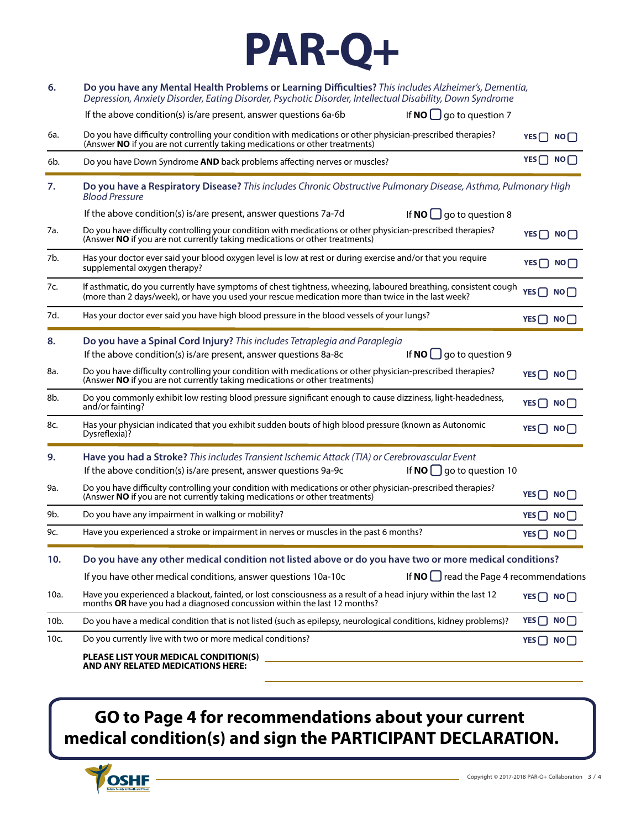

| 6.   | Do you have any Mental Health Problems or Learning Difficulties? This includes Alzheimer's, Dementia,<br>Depression, Anxiety Disorder, Eating Disorder, Psychotic Disorder, Intellectual Disability, Down Syndrome    |                          |  |
|------|-----------------------------------------------------------------------------------------------------------------------------------------------------------------------------------------------------------------------|--------------------------|--|
|      | If $NO$ go to question 7<br>If the above condition(s) is/are present, answer questions 6a-6b                                                                                                                          |                          |  |
| 6a.  | Do you have difficulty controlling your condition with medications or other physician-prescribed therapies?<br>(Answer NO if you are not currently taking medications or other treatments)                            | $YES$ NO                 |  |
| 6b.  | Do you have Down Syndrome AND back problems affecting nerves or muscles?                                                                                                                                              | $YES \bigcap NO \bigcap$ |  |
| 7.   | Do you have a Respiratory Disease? This includes Chronic Obstructive Pulmonary Disease, Asthma, Pulmonary High<br><b>Blood Pressure</b>                                                                               |                          |  |
|      | If the above condition(s) is/are present, answer questions 7a-7d<br>If $NO \square$ go to question 8                                                                                                                  |                          |  |
| 7a.  | Do you have difficulty controlling your condition with medications or other physician-prescribed therapies?<br>(Answer NO if you are not currently taking medications or other treatments)                            | $YES \bigcap NO \bigcap$ |  |
| 7b.  | Has your doctor ever said your blood oxygen level is low at rest or during exercise and/or that you require<br>supplemental oxygen therapy?                                                                           | $YES \bigcap NO$         |  |
| 7c.  | If asthmatic, do you currently have symptoms of chest tightness, wheezing, laboured breathing, consistent cough<br>(more than 2 days/week), or have you used your rescue medication more than twice in the last week? | YES□ NO□                 |  |
| 7d.  | Has your doctor ever said you have high blood pressure in the blood vessels of your lungs?                                                                                                                            | YES□ NO□                 |  |
| 8.   | Do you have a Spinal Cord Injury? This includes Tetraplegia and Paraplegia<br>If <b>NO</b> $\Box$ go to question 9<br>If the above condition(s) is/are present, answer questions 8a-8c                                |                          |  |
| 8a.  | Do you have difficulty controlling your condition with medications or other physician-prescribed therapies?<br>(Answer NO if you are not currently taking medications or other treatments)                            | $YES$ NO                 |  |
| 8b.  | Do you commonly exhibit low resting blood pressure significant enough to cause dizziness, light-headedness,<br>and/or fainting?                                                                                       | $YES \bigcap NO \bigcap$ |  |
| 8c.  | Has your physician indicated that you exhibit sudden bouts of high blood pressure (known as Autonomic<br>Dysreflexia)?                                                                                                | YES□ NO□                 |  |
| 9.   | Have you had a Stroke? This includes Transient Ischemic Attack (TIA) or Cerebrovascular Event<br>If $NO \bigcup$ go to question 10<br>If the above condition(s) is/are present, answer questions 9a-9c                |                          |  |
| 9a.  | Do you have difficulty controlling your condition with medications or other physician-prescribed therapies?<br>(Answer NO if you are not currently taking medications or other treatments)                            | $YES \bigcap NO \bigcap$ |  |
| 9b.  | Do you have any impairment in walking or mobility?                                                                                                                                                                    | $YES \bigcap NO \bigcap$ |  |
| 9c.  | Have you experienced a stroke or impairment in nerves or muscles in the past 6 months?                                                                                                                                | $YES \bigcap NO \bigcap$ |  |
| 10.  | Do you have any other medical condition not listed above or do you have two or more medical conditions?                                                                                                               |                          |  |
|      | If $NO$ $\Box$ read the Page 4 recommendations<br>If you have other medical conditions, answer questions 10a-10c                                                                                                      |                          |  |
| 10a. | Have you experienced a blackout, fainted, or lost consciousness as a result of a head injury within the last 12<br>months OR have you had a diagnosed concussion within the last 12 months?                           | $YES \bigcap NO \bigcap$ |  |
| 10b. | Do you have a medical condition that is not listed (such as epilepsy, neurological conditions, kidney problems)?                                                                                                      | $YES \bigcap NO$         |  |
| 10c. | Do you currently live with two or more medical conditions?                                                                                                                                                            | $YES \bigcap NO \bigcap$ |  |
|      | PLEASE LIST YOUR MEDICAL CONDITION(S)<br><b>AND ANY RELATED MEDICATIONS HERE:</b>                                                                                                                                     |                          |  |

### **GO to Page 4 for recommendations about your current medical condition(s) and sign the PARTICIPANT DECLARATION.**